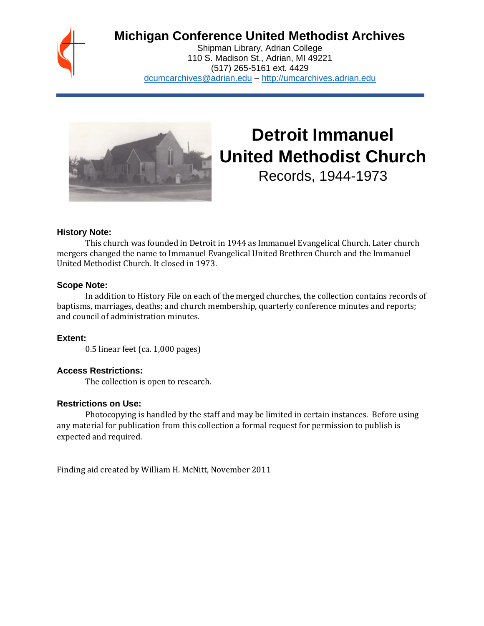

## **Michigan Conference United Methodist Archives**

Shipman Library, Adrian College 110 S. Madison St., Adrian, MI 49221 (517) 265-5161 ext. 4429 [dcumcarchives@adrian.edu](mailto:dcumcarchives@adrian.edu) – [http://umcarchives.adrian.edu](http://umcarchives.adrian.edu/)



# **Detroit Immanuel United Methodist Church**

Records, 1944-1973

## **History Note:**

This church was founded in Detroit in 1944 as Immanuel Evangelical Church. Later church mergers changed the name to Immanuel Evangelical United Brethren Church and the Immanuel United Methodist Church. It closed in 1973.

## **Scope Note:**

In addition to History File on each of the merged churches, the collection contains records of baptisms, marriages, deaths; and church membership, quarterly conference minutes and reports; and council of administration minutes.

**Extent:**

0.5 linear feet (ca. 1,000 pages)

## **Access Restrictions:**

The collection is open to research.

## **Restrictions on Use:**

Photocopying is handled by the staff and may be limited in certain instances. Before using any material for publication from this collection a formal request for permission to publish is expected and required.

Finding aid created by William H. McNitt, November 2011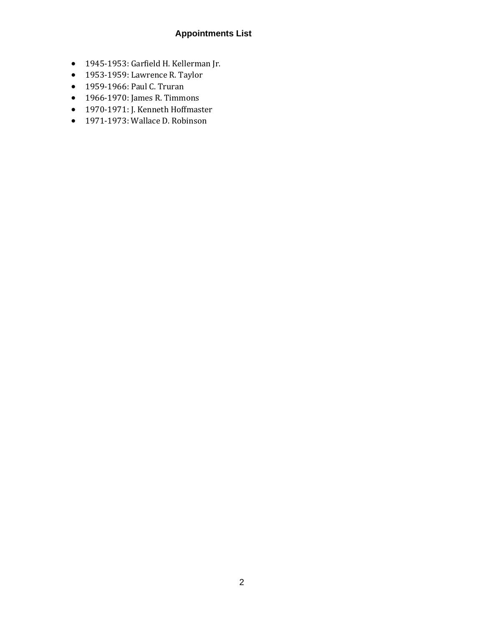## **Appointments List**

- 1945-1953: Garfield H. Kellerman Jr.
- 1953-1959: Lawrence R. Taylor
- 1959-1966: Paul C. Truran
- 1966-1970: James R. Timmons
- 1970-1971: J. Kenneth Hoffmaster
- 1971-1973: Wallace D. Robinson